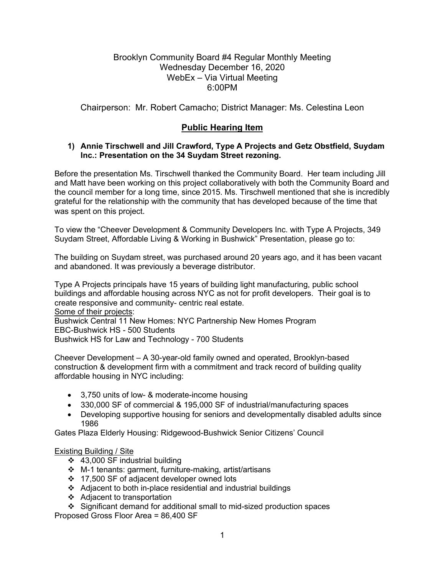## Brooklyn Community Board #4 Regular Monthly Meeting Wednesday December 16, 2020 WebEx – Via Virtual Meeting 6:00PM

Chairperson: Mr. Robert Camacho; District Manager: Ms. Celestina Leon

# **Public Hearing Item**

#### **1) Annie Tirschwell and Jill Crawford, Type A Projects and Getz Obstfield, Suydam Inc.: Presentation on the 34 Suydam Street rezoning.**

Before the presentation Ms. Tirschwell thanked the Community Board. Her team including Jill and Matt have been working on this project collaboratively with both the Community Board and the council member for a long time, since 2015. Ms. Tirschwell mentioned that she is incredibly grateful for the relationship with the community that has developed because of the time that was spent on this project.

To view the "Cheever Development & Community Developers Inc. with Type A Projects, 349 Suydam Street, Affordable Living & Working in Bushwick" Presentation, please go to:

The building on Suydam street, was purchased around 20 years ago, and it has been vacant and abandoned. It was previously a beverage distributor.

Type A Projects principals have 15 years of building light manufacturing, public school buildings and affordable housing across NYC as not for profit developers. Their goal is to create responsive and community- centric real estate. Some of their projects: Bushwick Central 11 New Homes: NYC Partnership New Homes Program EBC-Bushwick HS - 500 Students Bushwick HS for Law and Technology - 700 Students

Cheever Development – A 30-year-old family owned and operated, Brooklyn-based construction & development firm with a commitment and track record of building quality affordable housing in NYC including:

- 3,750 units of low- & moderate-income housing
- 330,000 SF of commercial & 195,000 SF of industrial/manufacturing spaces
- Developing supportive housing for seniors and developmentally disabled adults since 1986

Gates Plaza Elderly Housing: Ridgewood-Bushwick Senior Citizens' Council

#### Existing Building / Site

- 43,000 SF industrial building
- M-1 tenants: garment, furniture-making, artist/artisans
- ❖ 17,500 SF of adjacent developer owned lots
- Adjacent to both in-place residential and industrial buildings
- ❖ Adjacent to transportation
- Significant demand for additional small to mid-sized production spaces

Proposed Gross Floor Area = 86,400 SF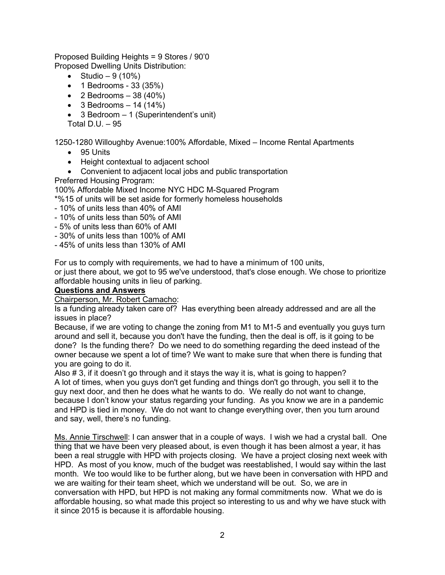Proposed Building Heights = 9 Stores / 90'0 Proposed Dwelling Units Distribution:

- Studio  $9(10%)$
- 1 Bedrooms 33 (35%)
- 2 Bedrooms  $-38(40%)$
- $\bullet$  3 Bedrooms  $-$  14 (14%)
- 3 Bedroom 1 (Superintendent's unit)

Total D.U.  $-95$ 

1250-1280 Willoughby Avenue:100% Affordable, Mixed – Income Rental Apartments

- 95 Units
- Height contextual to adjacent school
- Convenient to adjacent local jobs and public transportation Preferred Housing Program:

100% Affordable Mixed Income NYC HDC M-Squared Program

\*%15 of units will be set aside for formerly homeless households

- 10% of units less than 40% of AMI
- 10% of units less than 50% of AMI
- 5% of units less than 60% of AMI
- 30% of units less than 100% of AMI
- 45% of units less than 130% of AMI

For us to comply with requirements, we had to have a minimum of 100 units,

or just there about, we got to 95 we've understood, that's close enough. We chose to prioritize affordable housing units in lieu of parking.

#### **Questions and Answers**

Chairperson, Mr. Robert Camacho:

Is a funding already taken care of? Has everything been already addressed and are all the issues in place?

Because, if we are voting to change the zoning from M1 to M1-5 and eventually you guys turn around and sell it, because you don't have the funding, then the deal is off, is it going to be done? Is the funding there? Do we need to do something regarding the deed instead of the owner because we spent a lot of time? We want to make sure that when there is funding that you are going to do it.

Also # 3, if it doesn't go through and it stays the way it is, what is going to happen? A lot of times, when you guys don't get funding and things don't go through, you sell it to the guy next door, and then he does what he wants to do. We really do not want to change, because I don't know your status regarding your funding. As you know we are in a pandemic and HPD is tied in money. We do not want to change everything over, then you turn around and say, well, there's no funding.

Ms. Annie Tirschwell: I can answer that in a couple of ways. I wish we had a crystal ball. One thing that we have been very pleased about, is even though it has been almost a year, it has been a real struggle with HPD with projects closing. We have a project closing next week with HPD. As most of you know, much of the budget was reestablished, I would say within the last month. We too would like to be further along, but we have been in conversation with HPD and we are waiting for their team sheet, which we understand will be out. So, we are in conversation with HPD, but HPD is not making any formal commitments now. What we do is affordable housing, so what made this project so interesting to us and why we have stuck with it since 2015 is because it is affordable housing.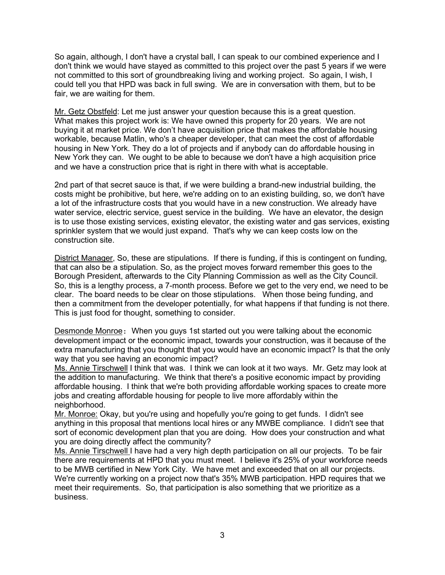So again, although, I don't have a crystal ball, I can speak to our combined experience and I don't think we would have stayed as committed to this project over the past 5 years if we were not committed to this sort of groundbreaking living and working project. So again, I wish, I could tell you that HPD was back in full swing. We are in conversation with them, but to be fair, we are waiting for them.

Mr. Getz Obstfeld: Let me just answer your question because this is a great question. What makes this project work is: We have owned this property for 20 years. We are not buying it at market price. We don't have acquisition price that makes the affordable housing workable, because Matlin, who's a cheaper developer, that can meet the cost of affordable housing in New York. They do a lot of projects and if anybody can do affordable housing in New York they can. We ought to be able to because we don't have a high acquisition price and we have a construction price that is right in there with what is acceptable.

2nd part of that secret sauce is that, if we were building a brand-new industrial building, the costs might be prohibitive, but here, we're adding on to an existing building, so, we don't have a lot of the infrastructure costs that you would have in a new construction. We already have water service, electric service, guest service in the building. We have an elevator, the design is to use those existing services, existing elevator, the existing water and gas services, existing sprinkler system that we would just expand. That's why we can keep costs low on the construction site.

District Manager, So, these are stipulations. If there is funding, if this is contingent on funding, that can also be a stipulation. So, as the project moves forward remember this goes to the Borough President, afterwards to the City Planning Commission as well as the City Council. So, this is a lengthy process, a 7-month process. Before we get to the very end, we need to be clear. The board needs to be clear on those stipulations. When those being funding, and then a commitment from the developer potentially, for what happens if that funding is not there. This is just food for thought, something to consider.

Desmonde Monroe: When you guys 1st started out you were talking about the economic development impact or the economic impact, towards your construction, was it because of the extra manufacturing that you thought that you would have an economic impact? Is that the only way that you see having an economic impact?

Ms. Annie Tirschwell I think that was. I think we can look at it two ways. Mr. Getz may look at the addition to manufacturing. We think that there's a positive economic impact by providing affordable housing. I think that we're both providing affordable working spaces to create more jobs and creating affordable housing for people to live more affordably within the neighborhood.

Mr. Monroe: Okay, but you're using and hopefully you're going to get funds. I didn't see anything in this proposal that mentions local hires or any MWBE compliance. I didn't see that sort of economic development plan that you are doing. How does your construction and what you are doing directly affect the community?

Ms. Annie Tirschwell I have had a very high depth participation on all our projects. To be fair there are requirements at HPD that you must meet. I believe it's 25% of your workforce needs to be MWB certified in New York City. We have met and exceeded that on all our projects. We're currently working on a project now that's 35% MWB participation. HPD requires that we meet their requirements. So, that participation is also something that we prioritize as a business.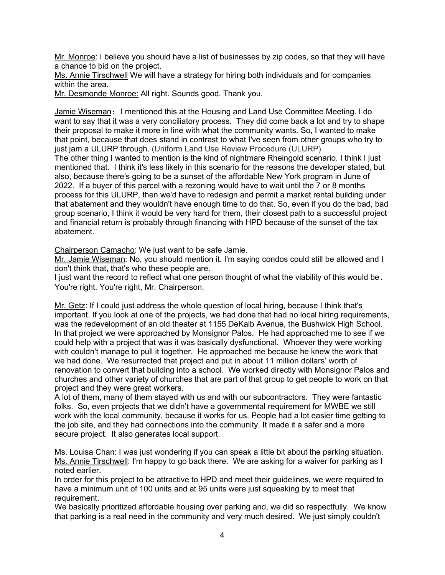Mr. Monroe: I believe you should have a list of businesses by zip codes, so that they will have a chance to bid on the project.

Ms. Annie Tirschwell We will have a strategy for hiring both individuals and for companies within the area.

Mr. Desmonde Monroe: All right. Sounds good. Thank you.

Jamie Wiseman: I mentioned this at the Housing and Land Use Committee Meeting. I do want to say that it was a very conciliatory process. They did come back a lot and try to shape their proposal to make it more in line with what the community wants. So, I wanted to make that point, because that does stand in contrast to what I've seen from other groups who try to just jam a ULURP through. (Uniform Land Use Review Procedure (ULURP) The other thing I wanted to mention is the kind of nightmare Rheingold scenario. I think I just mentioned that. I think it's less likely in this scenario for the reasons the developer stated, but also, because there's going to be a sunset of the affordable New York program in June of 2022. If a buyer of this parcel with a rezoning would have to wait until the 7 or 8 months process for this ULURP, then we'd have to redesign and permit a market rental building under that abatement and they wouldn't have enough time to do that. So, even if you do the bad, bad group scenario, I think it would be very hard for them, their closest path to a successful project and financial return is probably through financing with HPD because of the sunset of the tax abatement.

Chairperson Camacho: We just want to be safe Jamie.

Mr. Jamie Wiseman: No, you should mention it. I'm saying condos could still be allowed and I don't think that, that's who these people are.

I just want the record to reflect what one person thought of what the viability of this would be. You're right. You're right, Mr. Chairperson.

Mr. Getz: If I could just address the whole question of local hiring, because I think that's important. If you look at one of the projects, we had done that had no local hiring requirements, was the redevelopment of an old theater at 1155 DeKalb Avenue, the Bushwick High School. In that project we were approached by Monsignor Palos. He had approached me to see if we could help with a project that was it was basically dysfunctional. Whoever they were working with couldn't manage to pull it together. He approached me because he knew the work that we had done. We resurrected that project and put in about 11 million dollars' worth of renovation to convert that building into a school. We worked directly with Monsignor Palos and churches and other variety of churches that are part of that group to get people to work on that project and they were great workers.

A lot of them, many of them stayed with us and with our subcontractors. They were fantastic folks. So, even projects that we didn't have a governmental requirement for MWBE we still work with the local community, because it works for us. People had a lot easier time getting to the job site, and they had connections into the community. It made it a safer and a more secure project. It also generates local support.

Ms. Louisa Chan: I was just wondering if you can speak a little bit about the parking situation. Ms. Annie Tirschwell: I'm happy to go back there. We are asking for a waiver for parking as I noted earlier.

In order for this project to be attractive to HPD and meet their guidelines, we were required to have a minimum unit of 100 units and at 95 units were just squeaking by to meet that requirement.

We basically prioritized affordable housing over parking and, we did so respectfully. We know that parking is a real need in the community and very much desired. We just simply couldn't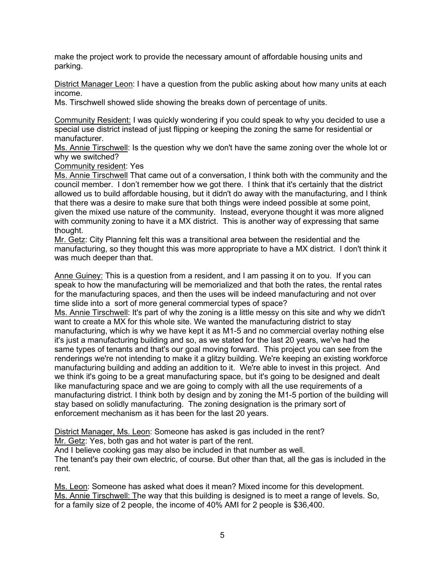make the project work to provide the necessary amount of affordable housing units and parking.

District Manager Leon: I have a question from the public asking about how many units at each income.

Ms. Tirschwell showed slide showing the breaks down of percentage of units.

Community Resident: I was quickly wondering if you could speak to why you decided to use a special use district instead of just flipping or keeping the zoning the same for residential or manufacturer.

Ms. Annie Tirschwell: Is the question why we don't have the same zoning over the whole lot or why we switched?

Community resident: Yes

Ms. Annie Tirschwell That came out of a conversation, I think both with the community and the council member. I don't remember how we got there. I think that it's certainly that the district allowed us to build affordable housing, but it didn't do away with the manufacturing, and I think that there was a desire to make sure that both things were indeed possible at some point, given the mixed use nature of the community. Instead, everyone thought it was more aligned with community zoning to have it a MX district. This is another way of expressing that same thought.

Mr. Getz: City Planning felt this was a transitional area between the residential and the manufacturing, so they thought this was more appropriate to have a MX district. I don't think it was much deeper than that.

Anne Guiney: This is a question from a resident, and I am passing it on to you. If you can speak to how the manufacturing will be memorialized and that both the rates, the rental rates for the manufacturing spaces, and then the uses will be indeed manufacturing and not over time slide into a sort of more general commercial types of space?

Ms. Annie Tirschwell: It's part of why the zoning is a little messy on this site and why we didn't want to create a MX for this whole site. We wanted the manufacturing district to stay manufacturing, which is why we have kept it as M1-5 and no commercial overlay nothing else it's just a manufacturing building and so, as we stated for the last 20 years, we've had the same types of tenants and that's our goal moving forward. This project you can see from the renderings we're not intending to make it a glitzy building. We're keeping an existing workforce manufacturing building and adding an addition to it. We're able to invest in this project. And we think it's going to be a great manufacturing space, but it's going to be designed and dealt like manufacturing space and we are going to comply with all the use requirements of a manufacturing district. I think both by design and by zoning the M1-5 portion of the building will stay based on solidly manufacturing. The zoning designation is the primary sort of enforcement mechanism as it has been for the last 20 years.

District Manager, Ms. Leon: Someone has asked is gas included in the rent?

Mr. Getz: Yes, both gas and hot water is part of the rent.

And I believe cooking gas may also be included in that number as well.

The tenant's pay their own electric, of course. But other than that, all the gas is included in the rent.

Ms. Leon: Someone has asked what does it mean? Mixed income for this development. Ms. Annie Tirschwell: The way that this building is designed is to meet a range of levels. So, for a family size of 2 people, the income of 40% AMI for 2 people is \$36,400.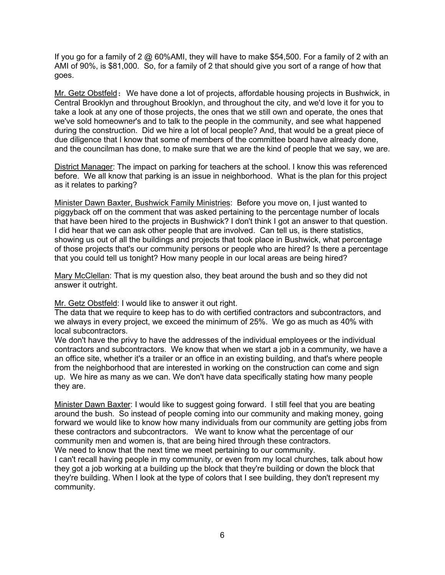If you go for a family of 2  $@$  60%AMI, they will have to make \$54,500. For a family of 2 with an AMI of 90%, is \$81,000. So, for a family of 2 that should give you sort of a range of how that goes.

Mr. Getz Obstfeld: We have done a lot of projects, affordable housing projects in Bushwick, in Central Brooklyn and throughout Brooklyn, and throughout the city, and we'd love it for you to take a look at any one of those projects, the ones that we still own and operate, the ones that we've sold homeowner's and to talk to the people in the community, and see what happened during the construction. Did we hire a lot of local people? And, that would be a great piece of due diligence that I know that some of members of the committee board have already done, and the councilman has done, to make sure that we are the kind of people that we say, we are.

District Manager: The impact on parking for teachers at the school. I know this was referenced before. We all know that parking is an issue in neighborhood. What is the plan for this project as it relates to parking?

Minister Dawn Baxter, Bushwick Family Ministries: Before you move on, I just wanted to piggyback off on the comment that was asked pertaining to the percentage number of locals that have been hired to the projects in Bushwick? I don't think I got an answer to that question. I did hear that we can ask other people that are involved. Can tell us, is there statistics, showing us out of all the buildings and projects that took place in Bushwick, what percentage of those projects that's our community persons or people who are hired? Is there a percentage that you could tell us tonight? How many people in our local areas are being hired?

Mary McClellan: That is my question also, they beat around the bush and so they did not answer it outright.

Mr. Getz Obstfeld: I would like to answer it out right.

The data that we require to keep has to do with certified contractors and subcontractors, and we always in every project, we exceed the minimum of 25%. We go as much as 40% with local subcontractors.

We don't have the privy to have the addresses of the individual employees or the individual contractors and subcontractors. We know that when we start a job in a community, we have a an office site, whether it's a trailer or an office in an existing building, and that's where people from the neighborhood that are interested in working on the construction can come and sign up. We hire as many as we can. We don't have data specifically stating how many people they are.

Minister Dawn Baxter: I would like to suggest going forward. I still feel that you are beating around the bush. So instead of people coming into our community and making money, going forward we would like to know how many individuals from our community are getting jobs from these contractors and subcontractors. We want to know what the percentage of our community men and women is, that are being hired through these contractors. We need to know that the next time we meet pertaining to our community.

I can't recall having people in my community, or even from my local churches, talk about how they got a job working at a building up the block that they're building or down the block that they're building. When I look at the type of colors that I see building, they don't represent my community.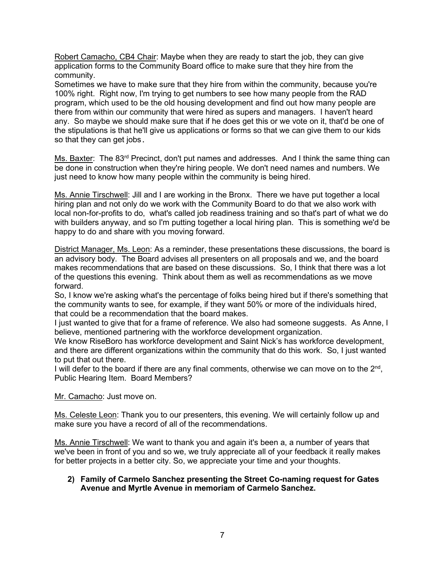Robert Camacho, CB4 Chair: Maybe when they are ready to start the job, they can give application forms to the Community Board office to make sure that they hire from the community.

Sometimes we have to make sure that they hire from within the community, because you're 100% right. Right now, I'm trying to get numbers to see how many people from the RAD program, which used to be the old housing development and find out how many people are there from within our community that were hired as supers and managers. I haven't heard any. So maybe we should make sure that if he does get this or we vote on it, that'd be one of the stipulations is that he'll give us applications or forms so that we can give them to our kids so that they can get jobs.

Ms. Baxter: The 83<sup>rd</sup> Precinct, don't put names and addresses. And I think the same thing can be done in construction when they're hiring people. We don't need names and numbers. We just need to know how many people within the community is being hired.

Ms. Annie Tirschwell: Jill and I are working in the Bronx. There we have put together a local hiring plan and not only do we work with the Community Board to do that we also work with local non-for-profits to do, what's called job readiness training and so that's part of what we do with builders anyway, and so I'm putting together a local hiring plan. This is something we'd be happy to do and share with you moving forward.

District Manager, Ms. Leon: As a reminder, these presentations these discussions, the board is an advisory body. The Board advises all presenters on all proposals and we, and the board makes recommendations that are based on these discussions. So, I think that there was a lot of the questions this evening. Think about them as well as recommendations as we move forward.

So, I know we're asking what's the percentage of folks being hired but if there's something that the community wants to see, for example, if they want 50% or more of the individuals hired, that could be a recommendation that the board makes.

I just wanted to give that for a frame of reference. We also had someone suggests. As Anne, I believe, mentioned partnering with the workforce development organization.

We know RiseBoro has workforce development and Saint Nick's has workforce development, and there are different organizations within the community that do this work. So, I just wanted to put that out there.

I will defer to the board if there are any final comments, otherwise we can move on to the  $2<sup>nd</sup>$ , Public Hearing Item. Board Members?

Mr. Camacho: Just move on.

Ms. Celeste Leon: Thank you to our presenters, this evening. We will certainly follow up and make sure you have a record of all of the recommendations.

Ms. Annie Tirschwell: We want to thank you and again it's been a, a number of years that we've been in front of you and so we, we truly appreciate all of your feedback it really makes for better projects in a better city. So, we appreciate your time and your thoughts.

#### **2) Family of Carmelo Sanchez presenting the Street Co-naming request for Gates Avenue and Myrtle Avenue in memoriam of Carmelo Sanchez.**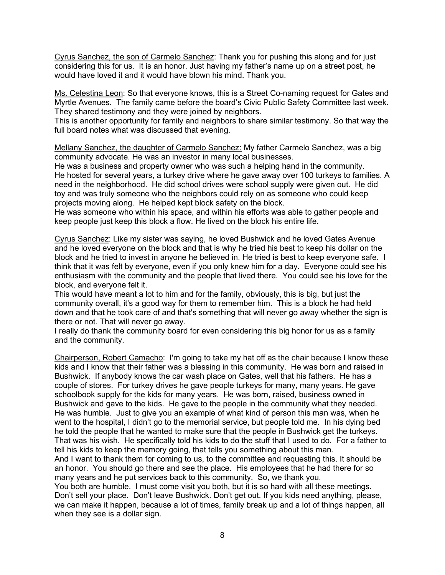Cyrus Sanchez, the son of Carmelo Sanchez: Thank you for pushing this along and for just considering this for us. It is an honor. Just having my father's name up on a street post, he would have loved it and it would have blown his mind. Thank you.

Ms. Celestina Leon: So that everyone knows, this is a Street Co-naming request for Gates and Myrtle Avenues. The family came before the board's Civic Public Safety Committee last week. They shared testimony and they were joined by neighbors.

This is another opportunity for family and neighbors to share similar testimony. So that way the full board notes what was discussed that evening.

Mellany Sanchez, the daughter of Carmelo Sanchez: My father Carmelo Sanchez, was a big community advocate. He was an investor in many local businesses.

He was a business and property owner who was such a helping hand in the community. He hosted for several years, a turkey drive where he gave away over 100 turkeys to families. A need in the neighborhood. He did school drives were school supply were given out. He did toy and was truly someone who the neighbors could rely on as someone who could keep projects moving along. He helped kept block safety on the block.

He was someone who within his space, and within his efforts was able to gather people and keep people just keep this block a flow. He lived on the block his entire life.

Cyrus Sanchez: Like my sister was saying, he loved Bushwick and he loved Gates Avenue and he loved everyone on the block and that is why he tried his best to keep his dollar on the block and he tried to invest in anyone he believed in. He tried is best to keep everyone safe. I think that it was felt by everyone, even if you only knew him for a day. Everyone could see his enthusiasm with the community and the people that lived there. You could see his love for the block, and everyone felt it.

This would have meant a lot to him and for the family, obviously, this is big, but just the community overall, it's a good way for them to remember him. This is a block he had held down and that he took care of and that's something that will never go away whether the sign is there or not. That will never go away.

I really do thank the community board for even considering this big honor for us as a family and the community.

Chairperson, Robert Camacho: I'm going to take my hat off as the chair because I know these kids and I know that their father was a blessing in this community. He was born and raised in Bushwick. If anybody knows the car wash place on Gates, well that his fathers. He has a couple of stores. For turkey drives he gave people turkeys for many, many years. He gave schoolbook supply for the kids for many years. He was born, raised, business owned in Bushwick and gave to the kids. He gave to the people in the community what they needed. He was humble. Just to give you an example of what kind of person this man was, when he went to the hospital, I didn't go to the memorial service, but people told me. In his dying bed he told the people that he wanted to make sure that the people in Bushwick get the turkeys. That was his wish. He specifically told his kids to do the stuff that I used to do. For a father to tell his kids to keep the memory going, that tells you something about this man.

And I want to thank them for coming to us, to the committee and requesting this. It should be an honor. You should go there and see the place. His employees that he had there for so many years and he put services back to this community. So, we thank you.

You both are humble. I must come visit you both, but it is so hard with all these meetings. Don't sell your place. Don't leave Bushwick. Don't get out. If you kids need anything, please, we can make it happen, because a lot of times, family break up and a lot of things happen, all when they see is a dollar sign.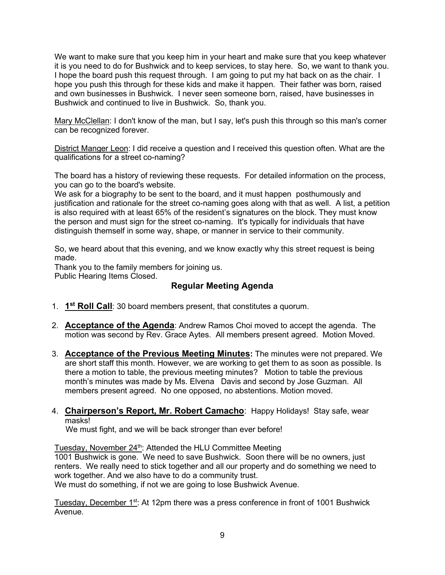We want to make sure that you keep him in your heart and make sure that you keep whatever it is you need to do for Bushwick and to keep services, to stay here. So, we want to thank you. I hope the board push this request through. I am going to put my hat back on as the chair. I hope you push this through for these kids and make it happen. Their father was born, raised and own businesses in Bushwick. I never seen someone born, raised, have businesses in Bushwick and continued to live in Bushwick. So, thank you.

Mary McClellan: I don't know of the man, but I say, let's push this through so this man's corner can be recognized forever.

District Manger Leon: I did receive a question and I received this question often. What are the qualifications for a street co-naming?

The board has a history of reviewing these requests. For detailed information on the process, you can go to the board's website.

We ask for a biography to be sent to the board, and it must happen posthumously and justification and rationale for the street co-naming goes along with that as well. A list, a petition is also required with at least 65% of the resident's signatures on the block. They must know the person and must sign for the street co-naming. It's typically for individuals that have distinguish themself in some way, shape, or manner in service to their community.

So, we heard about that this evening, and we know exactly why this street request is being made.

Thank you to the family members for joining us. Public Hearing Items Closed.

# **Regular Meeting Agenda**

- 1. **1st Roll Call**: 30 board members present, that constitutes a quorum.
- 2. **Acceptance of the Agenda**: Andrew Ramos Choi moved to accept the agenda. The motion was second by Rev. Grace Aytes. All members present agreed. Motion Moved.
- 3. **Acceptance of the Previous Meeting Minutes:** The minutes were not prepared. We are short staff this month. However, we are working to get them to as soon as possible. Is there a motion to table, the previous meeting minutes? Motion to table the previous month's minutes was made by Ms. Elvena Davis and second by Jose Guzman. All members present agreed. No one opposed, no abstentions. Motion moved.
- 4. **Chairperson's Report, Mr. Robert Camacho**: Happy Holidays! Stay safe, wear masks!

We must fight, and we will be back stronger than ever before!

Tuesday, November 24<sup>th</sup>: Attended the HLU Committee Meeting 1001 Bushwick is gone. We need to save Bushwick. Soon there will be no owners, just renters. We really need to stick together and all our property and do something we need to work together. And we also have to do a community trust. We must do something, if not we are going to lose Bushwick Avenue.

Tuesday, December 1<sup>st</sup>: At 12pm there was a press conference in front of 1001 Bushwick Avenue.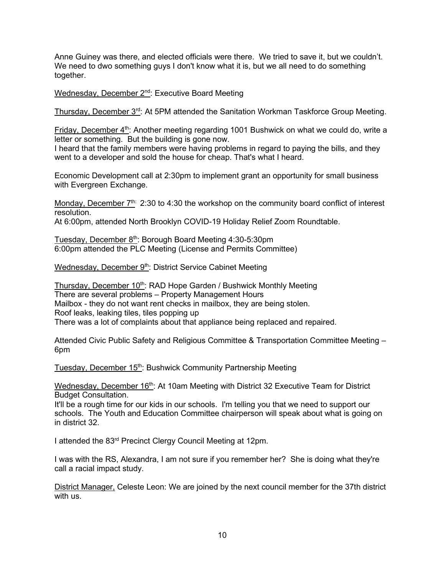Anne Guiney was there, and elected officials were there. We tried to save it, but we couldn't. We need to dwo something guys I don't know what it is, but we all need to do something together.

Wednesday, December 2<sup>nd</sup>: Executive Board Meeting

Thursday, December 3<sup>rd</sup>: At 5PM attended the Sanitation Workman Taskforce Group Meeting.

Friday, December 4<sup>th</sup>: Another meeting regarding 1001 Bushwick on what we could do, write a letter or something. But the building is gone now.

I heard that the family members were having problems in regard to paying the bills, and they went to a developer and sold the house for cheap. That's what I heard.

Economic Development call at 2:30pm to implement grant an opportunity for small business with Evergreen Exchange.

Monday, December 7<sup>th:</sup> 2:30 to 4:30 the workshop on the community board conflict of interest resolution.

At 6:00pm, attended North Brooklyn COVID-19 Holiday Relief Zoom Roundtable.

Tuesday, December 8<sup>th</sup>: Borough Board Meeting 4:30-5:30pm 6:00pm attended the PLC Meeting (License and Permits Committee)

Wednesday, December 9<sup>th</sup>: District Service Cabinet Meeting

Thursday, December 10<sup>th</sup>: RAD Hope Garden / Bushwick Monthly Meeting There are several problems – Property Management Hours Mailbox - they do not want rent checks in mailbox, they are being stolen. Roof leaks, leaking tiles, tiles popping up There was a lot of complaints about that appliance being replaced and repaired.

Attended Civic Public Safety and Religious Committee & Transportation Committee Meeting – 6pm

Tuesday, December 15<sup>th</sup>: Bushwick Community Partnership Meeting

Wednesday, December  $16<sup>th</sup>$ : At 10am Meeting with District 32 Executive Team for District Budget Consultation.

It'll be a rough time for our kids in our schools. I'm telling you that we need to support our schools. The Youth and Education Committee chairperson will speak about what is going on in district 32.

I attended the 83rd Precinct Clergy Council Meeting at 12pm.

I was with the RS, Alexandra, I am not sure if you remember her? She is doing what they're call a racial impact study.

District Manager, Celeste Leon: We are joined by the next council member for the 37th district with us.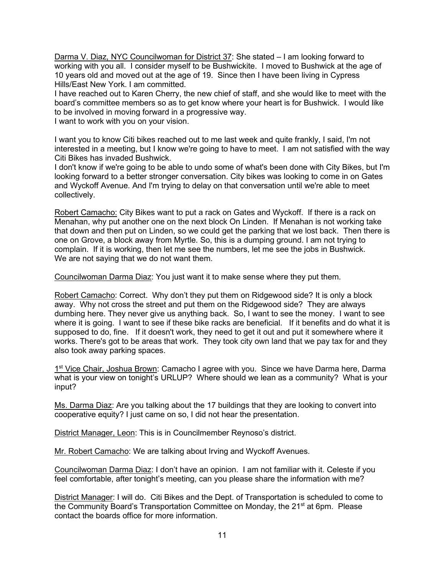Darma V. Diaz, NYC Councilwoman for District 37: She stated – I am looking forward to working with you all. I consider myself to be Bushwickite. I moved to Bushwick at the age of 10 years old and moved out at the age of 19. Since then I have been living in Cypress Hills/East New York. I am committed.

I have reached out to Karen Cherry, the new chief of staff, and she would like to meet with the board's committee members so as to get know where your heart is for Bushwick. I would like to be involved in moving forward in a progressive way.

I want to work with you on your vision.

I want you to know Citi bikes reached out to me last week and quite frankly, I said, I'm not interested in a meeting, but I know we're going to have to meet. I am not satisfied with the way Citi Bikes has invaded Bushwick.

I don't know if we're going to be able to undo some of what's been done with City Bikes, but I'm looking forward to a better stronger conversation. City bikes was looking to come in on Gates and Wyckoff Avenue. And I'm trying to delay on that conversation until we're able to meet collectively.

Robert Camacho: City Bikes want to put a rack on Gates and Wyckoff. If there is a rack on Menahan, why put another one on the next block On Linden. If Menahan is not working take that down and then put on Linden, so we could get the parking that we lost back. Then there is one on Grove, a block away from Myrtle. So, this is a dumping ground. I am not trying to complain. If it is working, then let me see the numbers, let me see the jobs in Bushwick. We are not saying that we do not want them.

Councilwoman Darma Diaz: You just want it to make sense where they put them.

Robert Camacho: Correct. Why don't they put them on Ridgewood side? It is only a block away. Why not cross the street and put them on the Ridgewood side? They are always dumbing here. They never give us anything back. So, I want to see the money. I want to see where it is going. I want to see if these bike racks are beneficial. If it benefits and do what it is supposed to do, fine. If it doesn't work, they need to get it out and put it somewhere where it works. There's got to be areas that work. They took city own land that we pay tax for and they also took away parking spaces.

1st Vice Chair, Joshua Brown: Camacho I agree with you. Since we have Darma here, Darma what is your view on tonight's URLUP? Where should we lean as a community? What is your input?

Ms. Darma Diaz: Are you talking about the 17 buildings that they are looking to convert into cooperative equity? I just came on so, I did not hear the presentation.

District Manager, Leon: This is in Councilmember Reynoso's district.

Mr. Robert Camacho: We are talking about Irving and Wyckoff Avenues.

Councilwoman Darma Diaz: I don't have an opinion. I am not familiar with it. Celeste if you feel comfortable, after tonight's meeting, can you please share the information with me?

District Manager: I will do. Citi Bikes and the Dept. of Transportation is scheduled to come to the Community Board's Transportation Committee on Monday, the  $21^{st}$  at 6pm. Please contact the boards office for more information.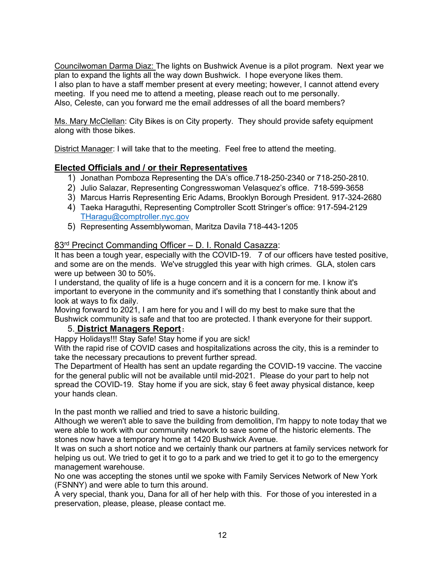Councilwoman Darma Diaz: The lights on Bushwick Avenue is a pilot program. Next year we plan to expand the lights all the way down Bushwick. I hope everyone likes them. I also plan to have a staff member present at every meeting; however, I cannot attend every meeting. If you need me to attend a meeting, please reach out to me personally. Also, Celeste, can you forward me the email addresses of all the board members?

Ms. Mary McClellan: City Bikes is on City property. They should provide safety equipment along with those bikes.

District Manager: I will take that to the meeting. Feel free to attend the meeting.

# **Elected Officials and / or their Representatives**

- 1) Jonathan Pomboza Representing the DA's office.718-250-2340 or 718-250-2810.
- 2) Julio Salazar, Representing Congresswoman Velasquez's office. 718-599-3658
- 3) Marcus Harris Representing Eric Adams, Brooklyn Borough President. 917-324-2680
- 4) Taeka Haraguthi, Representing Comptroller Scott Stringer's office: 917-594-2129 [THaragu@comptroller.nyc.gov](mailto:THaragu@comptroller.nyc.gov)
- 5) Representing Assemblywoman, Maritza Davila 718-443-1205

# 83rd Precinct Commanding Officer – D. I. Ronald Casazza:

It has been a tough year, especially with the COVID-19. 7 of our officers have tested positive, and some are on the mends. We've struggled this year with high crimes. GLA, stolen cars were up between 30 to 50%.

I understand, the quality of life is a huge concern and it is a concern for me. I know it's important to everyone in the community and it's something that I constantly think about and look at ways to fix daily.

Moving forward to 2021, I am here for you and I will do my best to make sure that the Bushwick community is safe and that too are protected. I thank everyone for their support.

# 5. **District Managers Report**:

Happy Holidays!!! Stay Safe! Stay home if you are sick!

With the rapid rise of COVID cases and hospitalizations across the city, this is a reminder to take the necessary precautions to prevent further spread.

The Department of Health has sent an update regarding the COVID-19 vaccine. The vaccine for the general public will not be available until mid-2021. Please do your part to help not spread the COVID-19. Stay home if you are sick, stay 6 feet away physical distance, keep your hands clean.

In the past month we rallied and tried to save a historic building.

Although we weren't able to save the building from demolition, I'm happy to note today that we were able to work with our community network to save some of the historic elements. The stones now have a temporary home at 1420 Bushwick Avenue.

It was on such a short notice and we certainly thank our partners at family services network for helping us out. We tried to get it to go to a park and we tried to get it to go to the emergency management warehouse.

No one was accepting the stones until we spoke with Family Services Network of New York (FSNNY) and were able to turn this around.

A very special, thank you, Dana for all of her help with this. For those of you interested in a preservation, please, please, please contact me.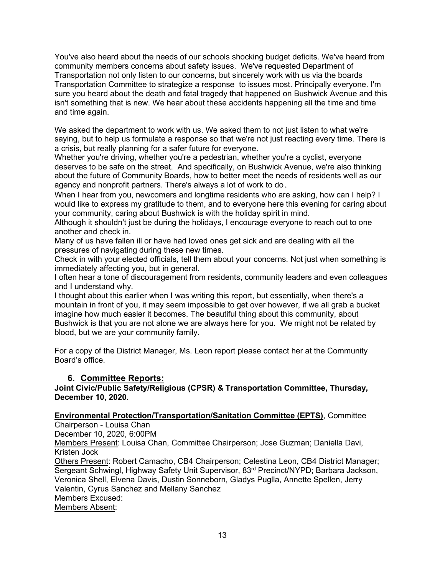You've also heard about the needs of our schools shocking budget deficits. We've heard from community members concerns about safety issues. We've requested Department of Transportation not only listen to our concerns, but sincerely work with us via the boards Transportation Committee to strategize a response to issues most. Principally everyone. I'm sure you heard about the death and fatal tragedy that happened on Bushwick Avenue and this isn't something that is new. We hear about these accidents happening all the time and time and time again.

We asked the department to work with us. We asked them to not just listen to what we're saying, but to help us formulate a response so that we're not just reacting every time. There is a crisis, but really planning for a safer future for everyone.

Whether you're driving, whether you're a pedestrian, whether you're a cyclist, everyone deserves to be safe on the street. And specifically, on Bushwick Avenue, we're also thinking about the future of Community Boards, how to better meet the needs of residents well as our agency and nonprofit partners. There's always a lot of work to do.

When I hear from you, newcomers and longtime residents who are asking, how can I help? I would like to express my gratitude to them, and to everyone here this evening for caring about your community, caring about Bushwick is with the holiday spirit in mind.

Although it shouldn't just be during the holidays, I encourage everyone to reach out to one another and check in.

Many of us have fallen ill or have had loved ones get sick and are dealing with all the pressures of navigating during these new times.

Check in with your elected officials, tell them about your concerns. Not just when something is immediately affecting you, but in general.

I often hear a tone of discouragement from residents, community leaders and even colleagues and I understand why.

I thought about this earlier when I was writing this report, but essentially, when there's a mountain in front of you, it may seem impossible to get over however, if we all grab a bucket imagine how much easier it becomes. The beautiful thing about this community, about Bushwick is that you are not alone we are always here for you. We might not be related by blood, but we are your community family.

For a copy of the District Manager, Ms. Leon report please contact her at the Community Board's office.

# **6. Committee Reports:**

**Joint Civic/Public Safety/Religious (CPSR) & Transportation Committee, Thursday, December 10, 2020.** 

# **Environmental Protection/Transportation/Sanitation Committee (EPTS)**, Committee

Chairperson - Louisa Chan

December 10, 2020, 6:00PM

Members Present: Louisa Chan, Committee Chairperson; Jose Guzman; Daniella Davi, Kristen Jock

Others Present: Robert Camacho, CB4 Chairperson; Celestina Leon, CB4 District Manager; Sergeant Schwingl, Highway Safety Unit Supervisor, 83rd Precinct/NYPD; Barbara Jackson, Veronica Shell, Elvena Davis, Dustin Sonneborn, Gladys Puglla, Annette Spellen, Jerry Valentin, Cyrus Sanchez and Mellany Sanchez Members Excused: Members Absent: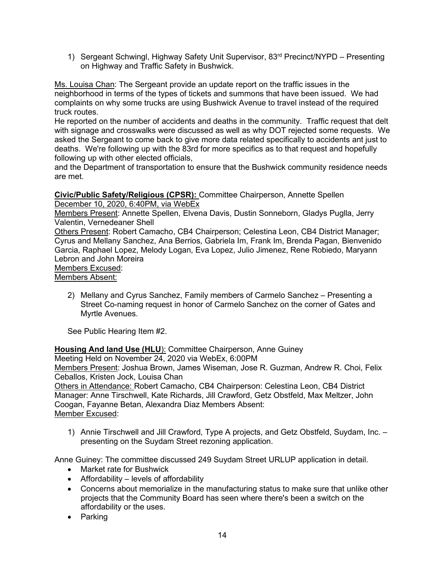1) Sergeant Schwingl, Highway Safety Unit Supervisor, 83<sup>rd</sup> Precinct/NYPD – Presenting on Highway and Traffic Safety in Bushwick.

Ms. Louisa Chan: The Sergeant provide an update report on the traffic issues in the neighborhood in terms of the types of tickets and summons that have been issued. We had complaints on why some trucks are using Bushwick Avenue to travel instead of the required truck routes.

He reported on the number of accidents and deaths in the community. Traffic request that delt with signage and crosswalks were discussed as well as why DOT rejected some requests. We asked the Sergeant to come back to give more data related specifically to accidents ant just to deaths. We're following up with the 83rd for more specifics as to that request and hopefully following up with other elected officials,

and the Department of transportation to ensure that the Bushwick community residence needs are met.

#### **Civic/Public Safety/Religious (CPSR):** Committee Chairperson, Annette Spellen December 10, 2020, 6:40PM, via WebEx

Members Present: Annette Spellen, Elvena Davis, Dustin Sonneborn, Gladys Puglla, Jerry Valentin, Vernedeaner Shell

Others Present: Robert Camacho, CB4 Chairperson; Celestina Leon, CB4 District Manager; Cyrus and Mellany Sanchez, Ana Berrios, Gabriela Im, Frank Im, Brenda Pagan, Bienvenido Garcia, Raphael Lopez, Melody Logan, Eva Lopez, Julio Jimenez, Rene Robiedo, Maryann Lebron and John Moreira

Members Excused:

Members Absent:

2) Mellany and Cyrus Sanchez, Family members of Carmelo Sanchez – Presenting a Street Co-naming request in honor of Carmelo Sanchez on the corner of Gates and Myrtle Avenues.

See Public Hearing Item #2.

**Housing And land Use (HLU**): Committee Chairperson, Anne Guiney

Meeting Held on November 24, 2020 via WebEx, 6:00PM

Members Present: Joshua Brown, James Wiseman, Jose R. Guzman, Andrew R. Choi, Felix Ceballos, Kristen Jock, Louisa Chan

Others in Attendance: Robert Camacho, CB4 Chairperson: Celestina Leon, CB4 District Manager: Anne Tirschwell, Kate Richards, Jill Crawford, Getz Obstfeld, Max Meltzer, John Coogan, Fayanne Betan, Alexandra Diaz Members Absent: Member Excused:

1) Annie Tirschwell and Jill Crawford, Type A projects, and Getz Obstfeld, Suydam, Inc. – presenting on the Suydam Street rezoning application.

Anne Guiney: The committee discussed 249 Suydam Street URLUP application in detail.

- Market rate for Bushwick
- Affordability levels of affordability
- Concerns about memorialize in the manufacturing status to make sure that unlike other projects that the Community Board has seen where there's been a switch on the affordability or the uses.
- Parking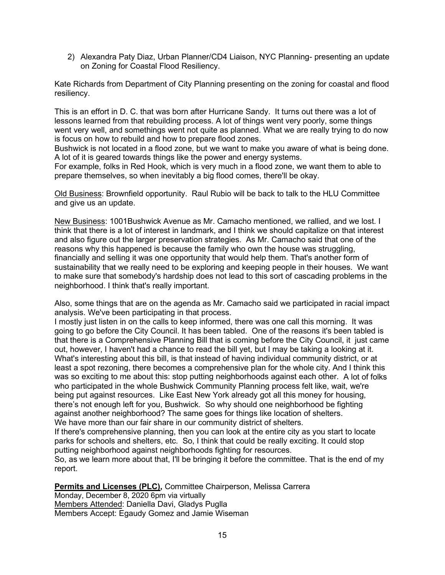2) Alexandra Paty Diaz, Urban Planner/CD4 Liaison, NYC Planning- presenting an update on Zoning for Coastal Flood Resiliency.

Kate Richards from Department of City Planning presenting on the zoning for coastal and flood resiliency.

This is an effort in D. C. that was born after Hurricane Sandy. It turns out there was a lot of lessons learned from that rebuilding process. A lot of things went very poorly, some things went very well, and somethings went not quite as planned. What we are really trying to do now is focus on how to rebuild and how to prepare flood zones.

Bushwick is not located in a flood zone, but we want to make you aware of what is being done. A lot of it is geared towards things like the power and energy systems.

For example, folks in Red Hook, which is very much in a flood zone, we want them to able to prepare themselves, so when inevitably a big flood comes, there'll be okay.

Old Business: Brownfield opportunity. Raul Rubio will be back to talk to the HLU Committee and give us an update.

New Business: 1001Bushwick Avenue as Mr. Camacho mentioned, we rallied, and we lost. I think that there is a lot of interest in landmark, and I think we should capitalize on that interest and also figure out the larger preservation strategies. As Mr. Camacho said that one of the reasons why this happened is because the family who own the house was struggling, financially and selling it was one opportunity that would help them. That's another form of sustainability that we really need to be exploring and keeping people in their houses. We want to make sure that somebody's hardship does not lead to this sort of cascading problems in the neighborhood. I think that's really important.

Also, some things that are on the agenda as Mr. Camacho said we participated in racial impact analysis. We've been participating in that process.

I mostly just listen in on the calls to keep informed, there was one call this morning. It was going to go before the City Council. It has been tabled. One of the reasons it's been tabled is that there is a Comprehensive Planning Bill that is coming before the City Council, it just came out, however, I haven't had a chance to read the bill yet, but I may be taking a looking at it. What's interesting about this bill, is that instead of having individual community district, or at least a spot rezoning, there becomes a comprehensive plan for the whole city. And I think this was so exciting to me about this: stop putting neighborhoods against each other. A lot of folks who participated in the whole Bushwick Community Planning process felt like, wait, we're being put against resources. Like East New York already got all this money for housing, there's not enough left for you, Bushwick. So why should one neighborhood be fighting against another neighborhood? The same goes for things like location of shelters. We have more than our fair share in our community district of shelters.

If there's comprehensive planning, then you can look at the entire city as you start to locate parks for schools and shelters, etc. So, I think that could be really exciting. It could stop putting neighborhood against neighborhoods fighting for resources.

So, as we learn more about that, I'll be bringing it before the committee. That is the end of my report.

**Permits and Licenses (PLC),** Committee Chairperson, Melissa Carrera

Monday, December 8, 2020 6pm via virtually Members Attended: Daniella Davi, Gladys Puglla Members Accept: Egaudy Gomez and Jamie Wiseman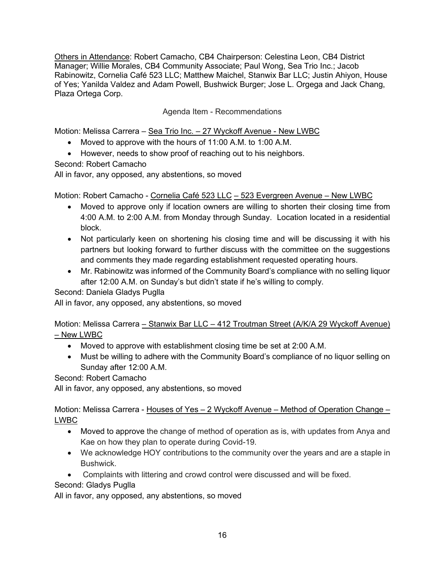Others in Attendance: Robert Camacho, CB4 Chairperson: Celestina Leon, CB4 District Manager; Willie Morales, CB4 Community Associate; Paul Wong, Sea Trio Inc.; Jacob Rabinowitz, Cornelia Café 523 LLC; Matthew Maichel, Stanwix Bar LLC; Justin Ahiyon, House of Yes; Yanilda Valdez and Adam Powell, Bushwick Burger; Jose L. Orgega and Jack Chang, Plaza Ortega Corp.

### Agenda Item - Recommendations

Motion: Melissa Carrera - Sea Trio Inc. - 27 Wyckoff Avenue - New LWBC

- Moved to approve with the hours of 11:00 A.M. to 1:00 A.M.
- However, needs to show proof of reaching out to his neighbors.

Second: Robert Camacho

All in favor, any opposed, any abstentions, so moved

Motion: Robert Camacho - Cornelia Café 523 LLC – 523 Evergreen Avenue – New LWBC

- Moved to approve only if location owners are willing to shorten their closing time from 4:00 A.M. to 2:00 A.M. from Monday through Sunday. Location located in a residential block.
- Not particularly keen on shortening his closing time and will be discussing it with his partners but looking forward to further discuss with the committee on the suggestions and comments they made regarding establishment requested operating hours.
- Mr. Rabinowitz was informed of the Community Board's compliance with no selling liquor after 12:00 A.M. on Sunday's but didn't state if he's willing to comply.

Second: Daniela Gladys Puglla

All in favor, any opposed, any abstentions, so moved

Motion: Melissa Carrera – Stanwix Bar LLC – 412 Troutman Street (A/K/A 29 Wyckoff Avenue) – New LWBC

- Moved to approve with establishment closing time be set at 2:00 A.M.
- Must be willing to adhere with the Community Board's compliance of no liquor selling on Sunday after 12:00 A.M.

Second: Robert Camacho

All in favor, any opposed, any abstentions, so moved

Motion: Melissa Carrera - Houses of Yes – 2 Wyckoff Avenue – Method of Operation Change – LWBC

- Moved to approve the change of method of operation as is, with updates from Anya and Kae on how they plan to operate during Covid-19.
- We acknowledge HOY contributions to the community over the years and are a staple in Bushwick.
- Complaints with littering and crowd control were discussed and will be fixed.

Second: Gladys Puglla

All in favor, any opposed, any abstentions, so moved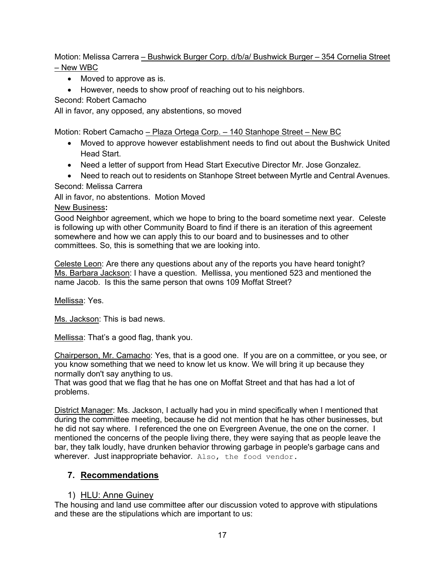Motion: Melissa Carrera – Bushwick Burger Corp. d/b/a/ Bushwick Burger – 354 Cornelia Street – New WBC

• Moved to approve as is.

• However, needs to show proof of reaching out to his neighbors.

Second: Robert Camacho

All in favor, any opposed, any abstentions, so moved

Motion: Robert Camacho - Plaza Ortega Corp. - 140 Stanhope Street - New BC

- Moved to approve however establishment needs to find out about the Bushwick United Head Start.
- Need a letter of support from Head Start Executive Director Mr. Jose Gonzalez.
- Need to reach out to residents on Stanhope Street between Myrtle and Central Avenues.

#### Second: Melissa Carrera

All in favor, no abstentions. Motion Moved

#### New Business**:**

Good Neighbor agreement, which we hope to bring to the board sometime next year. Celeste is following up with other Community Board to find if there is an iteration of this agreement somewhere and how we can apply this to our board and to businesses and to other committees. So, this is something that we are looking into.

Celeste Leon: Are there any questions about any of the reports you have heard tonight? Ms. Barbara Jackson: I have a question. Mellissa, you mentioned 523 and mentioned the name Jacob. Is this the same person that owns 109 Moffat Street?

Mellissa: Yes.

Ms. Jackson: This is bad news.

Mellissa: That's a good flag, thank you.

Chairperson, Mr. Camacho: Yes, that is a good one. If you are on a committee, or you see, or you know something that we need to know let us know. We will bring it up because they normally don't say anything to us.

That was good that we flag that he has one on Moffat Street and that has had a lot of problems.

District Manager: Ms. Jackson, I actually had you in mind specifically when I mentioned that during the committee meeting, because he did not mention that he has other businesses, but he did not say where. I referenced the one on Evergreen Avenue, the one on the corner. I mentioned the concerns of the people living there, they were saying that as people leave the bar, they talk loudly, have drunken behavior throwing garbage in people's garbage cans and wherever. Just inappropriate behavior. Also, the food vendor.

# **7. Recommendations**

# 1) HLU: Anne Guiney

The housing and land use committee after our discussion voted to approve with stipulations and these are the stipulations which are important to us: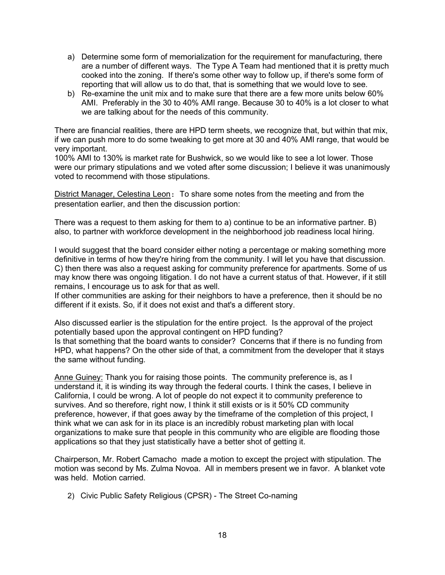- a) Determine some form of memorialization for the requirement for manufacturing, there are a number of different ways. The Type A Team had mentioned that it is pretty much cooked into the zoning. If there's some other way to follow up, if there's some form of reporting that will allow us to do that, that is something that we would love to see.
- b) Re-examine the unit mix and to make sure that there are a few more units below 60% AMI. Preferably in the 30 to 40% AMI range. Because 30 to 40% is a lot closer to what we are talking about for the needs of this community.

There are financial realities, there are HPD term sheets, we recognize that, but within that mix, if we can push more to do some tweaking to get more at 30 and 40% AMI range, that would be very important.

100% AMI to 130% is market rate for Bushwick, so we would like to see a lot lower. Those were our primary stipulations and we voted after some discussion; I believe it was unanimously voted to recommend with those stipulations.

District Manager, Celestina Leon: To share some notes from the meeting and from the presentation earlier, and then the discussion portion:

There was a request to them asking for them to a) continue to be an informative partner. B) also, to partner with workforce development in the neighborhood job readiness local hiring.

I would suggest that the board consider either noting a percentage or making something more definitive in terms of how they're hiring from the community. I will let you have that discussion. C) then there was also a request asking for community preference for apartments. Some of us may know there was ongoing litigation. I do not have a current status of that. However, if it still remains, I encourage us to ask for that as well.

If other communities are asking for their neighbors to have a preference, then it should be no different if it exists. So, if it does not exist and that's a different story.

Also discussed earlier is the stipulation for the entire project. Is the approval of the project potentially based upon the approval contingent on HPD funding? Is that something that the board wants to consider? Concerns that if there is no funding from HPD, what happens? On the other side of that, a commitment from the developer that it stays the same without funding.

Anne Guiney: Thank you for raising those points. The community preference is, as I understand it, it is winding its way through the federal courts. I think the cases, I believe in California, I could be wrong. A lot of people do not expect it to community preference to survives. And so therefore, right now, I think it still exists or is it 50% CD community preference, however, if that goes away by the timeframe of the completion of this project, I think what we can ask for in its place is an incredibly robust marketing plan with local organizations to make sure that people in this community who are eligible are flooding those applications so that they just statistically have a better shot of getting it.

Chairperson, Mr. Robert Camacho made a motion to except the project with stipulation. The motion was second by Ms. Zulma Novoa. All in members present we in favor. A blanket vote was held. Motion carried.

2) Civic Public Safety Religious (CPSR) - The Street Co-naming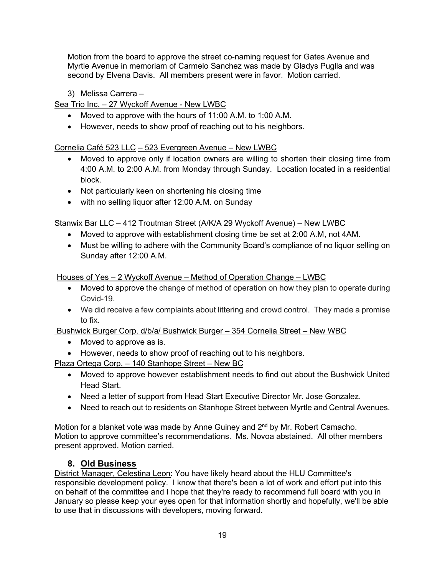Motion from the board to approve the street co-naming request for Gates Avenue and Myrtle Avenue in memoriam of Carmelo Sanchez was made by Gladys Puglla and was second by Elvena Davis. All members present were in favor. Motion carried.

3) Melissa Carrera –

Sea Trio Inc. – 27 Wyckoff Avenue - New LWBC

- Moved to approve with the hours of 11:00 A.M. to 1:00 A.M.
- However, needs to show proof of reaching out to his neighbors.

# Cornelia Café 523 LLC – 523 Evergreen Avenue – New LWBC

- Moved to approve only if location owners are willing to shorten their closing time from 4:00 A.M. to 2:00 A.M. from Monday through Sunday. Location located in a residential block.
- Not particularly keen on shortening his closing time
- with no selling liquor after 12:00 A.M. on Sunday

Stanwix Bar LLC – 412 Troutman Street (A/K/A 29 Wyckoff Avenue) – New LWBC

- Moved to approve with establishment closing time be set at 2:00 A.M, not 4AM.
- Must be willing to adhere with the Community Board's compliance of no liquor selling on Sunday after 12:00 A.M.

Houses of Yes – 2 Wyckoff Avenue – Method of Operation Change – LWBC

- Moved to approve the change of method of operation on how they plan to operate during Covid-19.
- We did receive a few complaints about littering and crowd control. They made a promise to fix.

Bushwick Burger Corp. d/b/a/ Bushwick Burger – 354 Cornelia Street – New WBC

- Moved to approve as is.
- However, needs to show proof of reaching out to his neighbors.

Plaza Ortega Corp. – 140 Stanhope Street – New BC

- Moved to approve however establishment needs to find out about the Bushwick United Head Start.
- Need a letter of support from Head Start Executive Director Mr. Jose Gonzalez.
- Need to reach out to residents on Stanhope Street between Myrtle and Central Avenues.

Motion for a blanket vote was made by Anne Guiney and 2<sup>nd</sup> by Mr. Robert Camacho. Motion to approve committee's recommendations. Ms. Novoa abstained. All other members present approved. Motion carried.

# **8. Old Business**

District Manager, Celestina Leon: You have likely heard about the HLU Committee's responsible development policy. I know that there's been a lot of work and effort put into this on behalf of the committee and I hope that they're ready to recommend full board with you in January so please keep your eyes open for that information shortly and hopefully, we'll be able to use that in discussions with developers, moving forward.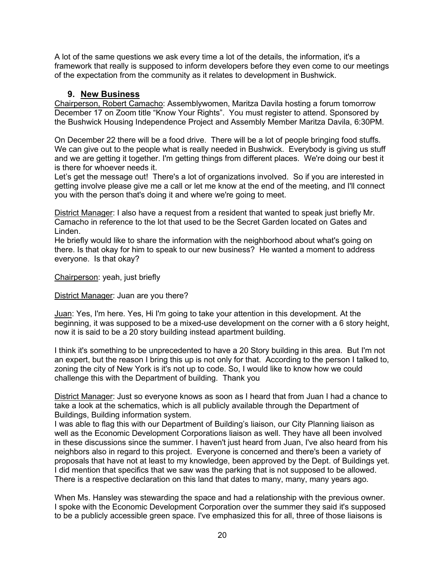A lot of the same questions we ask every time a lot of the details, the information, it's a framework that really is supposed to inform developers before they even come to our meetings of the expectation from the community as it relates to development in Bushwick.

## **9. New Business**

Chairperson, Robert Camacho: Assemblywomen, Maritza Davila hosting a forum tomorrow December 17 on Zoom title "Know Your Rights". You must register to attend. Sponsored by the Bushwick Housing Independence Project and Assembly Member Maritza Davila, 6:30PM.

On December 22 there will be a food drive. There will be a lot of people bringing food stuffs. We can give out to the people what is really needed in Bushwick. Everybody is giving us stuff and we are getting it together. I'm getting things from different places. We're doing our best it is there for whoever needs it.

Let's get the message out! There's a lot of organizations involved. So if you are interested in getting involve please give me a call or let me know at the end of the meeting, and I'll connect you with the person that's doing it and where we're going to meet.

District Manager: I also have a request from a resident that wanted to speak just briefly Mr. Camacho in reference to the lot that used to be the Secret Garden located on Gates and Linden.

He briefly would like to share the information with the neighborhood about what's going on there. Is that okay for him to speak to our new business? He wanted a moment to address everyone. Is that okay?

Chairperson: yeah, just briefly

District Manager: Juan are you there?

Juan: Yes, I'm here. Yes, Hi I'm going to take your attention in this development. At the beginning, it was supposed to be a mixed-use development on the corner with a 6 story height, now it is said to be a 20 story building instead apartment building.

I think it's something to be unprecedented to have a 20 Story building in this area. But I'm not an expert, but the reason I bring this up is not only for that. According to the person I talked to, zoning the city of New York is it's not up to code. So, I would like to know how we could challenge this with the Department of building. Thank you

District Manager: Just so everyone knows as soon as I heard that from Juan I had a chance to take a look at the schematics, which is all publicly available through the Department of Buildings, Building information system.

I was able to flag this with our Department of Building's liaison, our City Planning liaison as well as the Economic Development Corporations liaison as well. They have all been involved in these discussions since the summer. I haven't just heard from Juan, I've also heard from his neighbors also in regard to this project. Everyone is concerned and there's been a variety of proposals that have not at least to my knowledge, been approved by the Dept. of Buildings yet. I did mention that specifics that we saw was the parking that is not supposed to be allowed. There is a respective declaration on this land that dates to many, many, many years ago.

When Ms. Hansley was stewarding the space and had a relationship with the previous owner. I spoke with the Economic Development Corporation over the summer they said it's supposed to be a publicly accessible green space. I've emphasized this for all, three of those liaisons is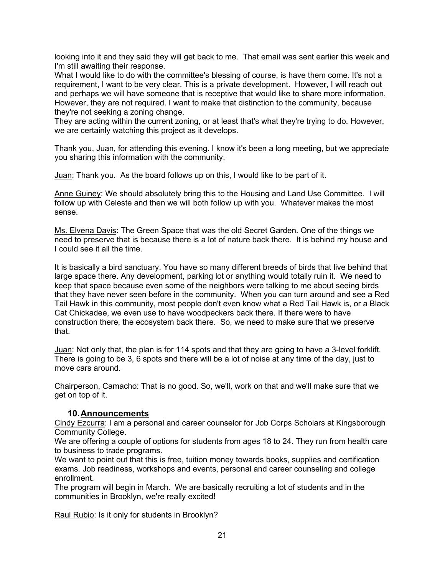looking into it and they said they will get back to me. That email was sent earlier this week and I'm still awaiting their response.

What I would like to do with the committee's blessing of course, is have them come. It's not a requirement, I want to be very clear. This is a private development. However, I will reach out and perhaps we will have someone that is receptive that would like to share more information. However, they are not required. I want to make that distinction to the community, because they're not seeking a zoning change.

They are acting within the current zoning, or at least that's what they're trying to do. However, we are certainly watching this project as it develops.

Thank you, Juan, for attending this evening. I know it's been a long meeting, but we appreciate you sharing this information with the community.

Juan: Thank you. As the board follows up on this, I would like to be part of it.

Anne Guiney: We should absolutely bring this to the Housing and Land Use Committee. I will follow up with Celeste and then we will both follow up with you. Whatever makes the most sense.

Ms. Elvena Davis: The Green Space that was the old Secret Garden. One of the things we need to preserve that is because there is a lot of nature back there. It is behind my house and I could see it all the time.

It is basically a bird sanctuary. You have so many different breeds of birds that live behind that large space there. Any development, parking lot or anything would totally ruin it. We need to keep that space because even some of the neighbors were talking to me about seeing birds that they have never seen before in the community. When you can turn around and see a Red Tail Hawk in this community, most people don't even know what a Red Tail Hawk is, or a Black Cat Chickadee, we even use to have woodpeckers back there. If there were to have construction there, the ecosystem back there. So, we need to make sure that we preserve that.

Juan: Not only that, the plan is for 114 spots and that they are going to have a 3-level forklift. There is going to be 3, 6 spots and there will be a lot of noise at any time of the day, just to move cars around.

Chairperson, Camacho: That is no good. So, we'll, work on that and we'll make sure that we get on top of it.

# **10.Announcements**

Cindy Ezcurra: I am a personal and career counselor for Job Corps Scholars at Kingsborough Community College.

We are offering a couple of options for students from ages 18 to 24. They run from health care to business to trade programs.

We want to point out that this is free, tuition money towards books, supplies and certification exams. Job readiness, workshops and events, personal and career counseling and college enrollment.

The program will begin in March. We are basically recruiting a lot of students and in the communities in Brooklyn, we're really excited!

Raul Rubio: Is it only for students in Brooklyn?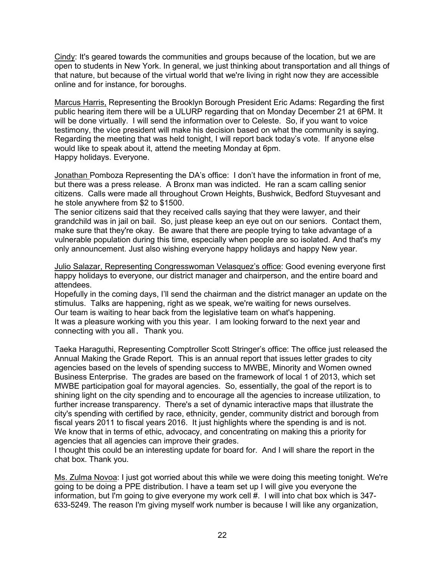Cindy: It's geared towards the communities and groups because of the location, but we are open to students in New York. In general, we just thinking about transportation and all things of that nature, but because of the virtual world that we're living in right now they are accessible online and for instance, for boroughs.

Marcus Harris, Representing the Brooklyn Borough President Eric Adams: Regarding the first public hearing item there will be a ULURP regarding that on Monday December 21 at 6PM. It will be done virtually. I will send the information over to Celeste. So, if you want to voice testimony, the vice president will make his decision based on what the community is saying. Regarding the meeting that was held tonight, I will report back today's vote. If anyone else would like to speak about it, attend the meeting Monday at 6pm. Happy holidays. Everyone.

Jonathan Pomboza Representing the DA's office: I don't have the information in front of me, but there was a press release. A Bronx man was indicted. He ran a scam calling senior citizens. Calls were made all throughout Crown Heights, Bushwick, Bedford Stuyvesant and he stole anywhere from \$2 to \$1500.

The senior citizens said that they received calls saying that they were lawyer, and their grandchild was in jail on bail. So, just please keep an eye out on our seniors. Contact them, make sure that they're okay. Be aware that there are people trying to take advantage of a vulnerable population during this time, especially when people are so isolated. And that's my only announcement. Just also wishing everyone happy holidays and happy New year.

Julio Salazar, Representing Congresswoman Velasquez's office: Good evening everyone first happy holidays to everyone, our district manager and chairperson, and the entire board and attendees.

Hopefully in the coming days, I'll send the chairman and the district manager an update on the stimulus. Talks are happening, right as we speak, we're waiting for news ourselves. Our team is waiting to hear back from the legislative team on what's happening. It was a pleasure working with you this year. I am looking forward to the next year and connecting with you all. Thank you.

Taeka Haraguthi, Representing Comptroller Scott Stringer's office: The office just released the Annual Making the Grade Report. This is an annual report that issues letter grades to city agencies based on the levels of spending success to MWBE, Minority and Women owned Business Enterprise. The grades are based on the framework of local 1 of 2013, which set MWBE participation goal for mayoral agencies. So, essentially, the goal of the report is to shining light on the city spending and to encourage all the agencies to increase utilization, to further increase transparency. There's a set of dynamic interactive maps that illustrate the city's spending with certified by race, ethnicity, gender, community district and borough from fiscal years 2011 to fiscal years 2016. It just highlights where the spending is and is not. We know that in terms of ethic, advocacy, and concentrating on making this a priority for agencies that all agencies can improve their grades.

I thought this could be an interesting update for board for. And I will share the report in the chat box. Thank you.

Ms. Zulma Novoa: I just got worried about this while we were doing this meeting tonight. We're going to be doing a PPE distribution. I have a team set up I will give you everyone the information, but I'm going to give everyone my work cell #. I will into chat box which is 347- 633-5249. The reason I'm giving myself work number is because I will like any organization,